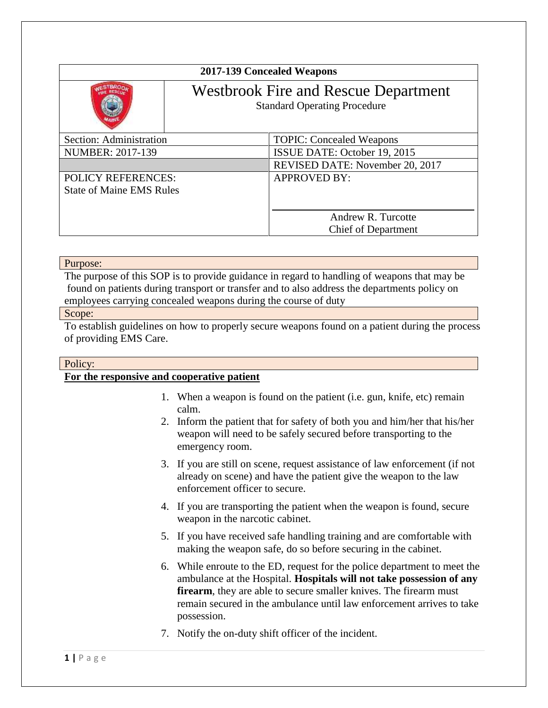| 2017-139 Concealed Weapons      |                                                                                    |                                 |
|---------------------------------|------------------------------------------------------------------------------------|---------------------------------|
|                                 | <b>Westbrook Fire and Rescue Department</b><br><b>Standard Operating Procedure</b> |                                 |
| Section: Administration         |                                                                                    | <b>TOPIC: Concealed Weapons</b> |
| NUMBER: 2017-139                |                                                                                    | ISSUE DATE: October 19, 2015    |
|                                 |                                                                                    | REVISED DATE: November 20, 2017 |
| <b>POLICY REFERENCES:</b>       |                                                                                    | <b>APPROVED BY:</b>             |
| <b>State of Maine EMS Rules</b> |                                                                                    |                                 |
|                                 |                                                                                    |                                 |
|                                 |                                                                                    | Andrew R. Turcotte              |
|                                 |                                                                                    | <b>Chief of Department</b>      |

#### Purpose:

The purpose of this SOP is to provide guidance in regard to handling of weapons that may be found on patients during transport or transfer and to also address the departments policy on employees carrying concealed weapons during the course of duty

#### Scope:

To establish guidelines on how to properly secure weapons found on a patient during the process of providing EMS Care.

# Policy:

# **For the responsive and cooperative patient**

- 1. When a weapon is found on the patient (i.e. gun, knife, etc) remain calm.
- 2. Inform the patient that for safety of both you and him/her that his/her weapon will need to be safely secured before transporting to the emergency room.
- 3. If you are still on scene, request assistance of law enforcement (if not already on scene) and have the patient give the weapon to the law enforcement officer to secure.
- 4. If you are transporting the patient when the weapon is found, secure weapon in the narcotic cabinet.
- 5. If you have received safe handling training and are comfortable with making the weapon safe, do so before securing in the cabinet.
- 6. While enroute to the ED, request for the police department to meet the ambulance at the Hospital. **Hospitals will not take possession of any firearm**, they are able to secure smaller knives. The firearm must remain secured in the ambulance until law enforcement arrives to take possession.
- 7. Notify the on-duty shift officer of the incident.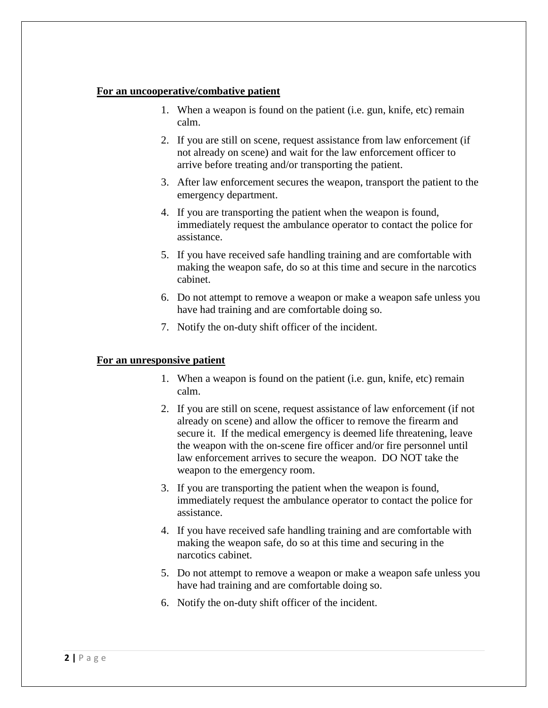#### **For an uncooperative/combative patient**

- 1. When a weapon is found on the patient (i.e. gun, knife, etc) remain calm.
- 2. If you are still on scene, request assistance from law enforcement (if not already on scene) and wait for the law enforcement officer to arrive before treating and/or transporting the patient.
- 3. After law enforcement secures the weapon, transport the patient to the emergency department.
- 4. If you are transporting the patient when the weapon is found, immediately request the ambulance operator to contact the police for assistance.
- 5. If you have received safe handling training and are comfortable with making the weapon safe, do so at this time and secure in the narcotics cabinet.
- 6. Do not attempt to remove a weapon or make a weapon safe unless you have had training and are comfortable doing so.
- 7. Notify the on-duty shift officer of the incident.

### **For an unresponsive patient**

- 1. When a weapon is found on the patient (i.e. gun, knife, etc) remain calm.
- 2. If you are still on scene, request assistance of law enforcement (if not already on scene) and allow the officer to remove the firearm and secure it. If the medical emergency is deemed life threatening, leave the weapon with the on-scene fire officer and/or fire personnel until law enforcement arrives to secure the weapon. DO NOT take the weapon to the emergency room.
- 3. If you are transporting the patient when the weapon is found, immediately request the ambulance operator to contact the police for assistance.
- 4. If you have received safe handling training and are comfortable with making the weapon safe, do so at this time and securing in the narcotics cabinet.
- 5. Do not attempt to remove a weapon or make a weapon safe unless you have had training and are comfortable doing so.
- 6. Notify the on-duty shift officer of the incident.